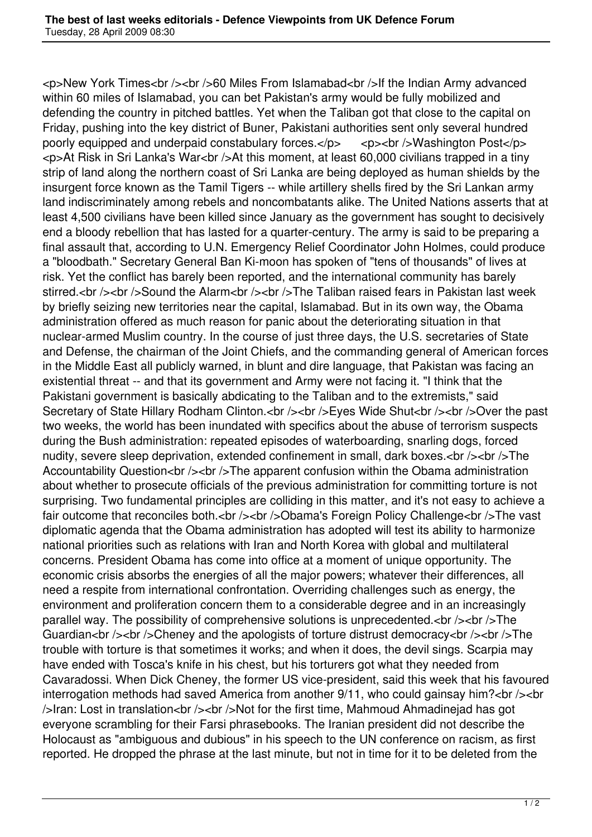<p>New York Times<br /><br />60 Miles From Islamabad<br />If the Indian Army advanced within 60 miles of Islamabad, you can bet Pakistan's army would be fully mobilized and defending the country in pitched battles. Yet when the Taliban got that close to the capital on Friday, pushing into the key district of Buner, Pakistani authorities sent only several hundred poorly equipped and underpaid constabulary forces. $\langle$ p>  $\langle$ p> $\rangle$ br $\langle$ >Washington Post $\langle$ p> <p>At Risk in Sri Lanka's War<br />At this moment, at least 60,000 civilians trapped in a tiny strip of land along the northern coast of Sri Lanka are being deployed as human shields by the insurgent force known as the Tamil Tigers -- while artillery shells fired by the Sri Lankan army land indiscriminately among rebels and noncombatants alike. The United Nations asserts that at least 4,500 civilians have been killed since January as the government has sought to decisively end a bloody rebellion that has lasted for a quarter-century. The army is said to be preparing a final assault that, according to U.N. Emergency Relief Coordinator John Holmes, could produce a "bloodbath." Secretary General Ban Ki-moon has spoken of "tens of thousands" of lives at risk. Yet the conflict has barely been reported, and the international community has barely stirred.<br />> />Sound the Alarm<br />>/>><br />> />The Taliban raised fears in Pakistan last week by briefly seizing new territories near the capital, Islamabad. But in its own way, the Obama administration offered as much reason for panic about the deteriorating situation in that nuclear-armed Muslim country. In the course of just three days, the U.S. secretaries of State and Defense, the chairman of the Joint Chiefs, and the commanding general of American forces in the Middle East all publicly warned, in blunt and dire language, that Pakistan was facing an existential threat -- and that its government and Army were not facing it. "I think that the Pakistani government is basically abdicating to the Taliban and to the extremists," said Secretary of State Hillary Rodham Clinton.<br />>/>><br />>/>>Eyes Wide Shut<br />>/>><br />>/>>Over the past two weeks, the world has been inundated with specifics about the abuse of terrorism suspects during the Bush administration: repeated episodes of waterboarding, snarling dogs, forced nudity, severe sleep deprivation, extended confinement in small, dark boxes.<br />>/>><br />> />The Accountability Question<br />>>>></br />>>>>>The apparent confusion within the Obama administration about whether to prosecute officials of the previous administration for committing torture is not surprising. Two fundamental principles are colliding in this matter, and it's not easy to achieve a fair outcome that reconciles both.<br />>/>>><br />>/>>Obama's Foreign Policy Challenge<br />>>/>>The vast diplomatic agenda that the Obama administration has adopted will test its ability to harmonize national priorities such as relations with Iran and North Korea with global and multilateral concerns. President Obama has come into office at a moment of unique opportunity. The economic crisis absorbs the energies of all the major powers; whatever their differences, all need a respite from international confrontation. Overriding challenges such as energy, the environment and proliferation concern them to a considerable degree and in an increasingly parallel way. The possibility of comprehensive solutions is unprecedented.<br />>/>><br />>>/>The Guardian<br />>>>>><br />>>>>>Cheney and the apologists of torture distrust democracy<br />>>/>><br />>><br />The trouble with torture is that sometimes it works; and when it does, the devil sings. Scarpia may have ended with Tosca's knife in his chest, but his torturers got what they needed from Cavaradossi. When Dick Cheney, the former US vice-president, said this week that his favoured interrogation methods had saved America from another  $9/11$ , who could gainsay him?<br/>shown>>>> />Iran: Lost in translation<br />> /><br />>Not for the first time, Mahmoud Ahmadinejad has got everyone scrambling for their Farsi phrasebooks. The Iranian president did not describe the Holocaust as "ambiguous and dubious" in his speech to the UN conference on racism, as first reported. He dropped the phrase at the last minute, but not in time for it to be deleted from the